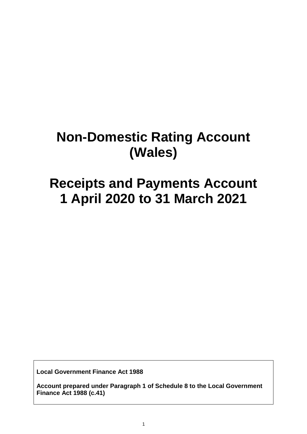# **Non-Domestic Rating Account (Wales)**

## **Receipts and Payments Account 1 April 2020 to 31 March 2021**

**Local Government Finance Act 1988**

**Account prepared under Paragraph 1 of Schedule 8 to the Local Government Finance Act 1988 (c.41)**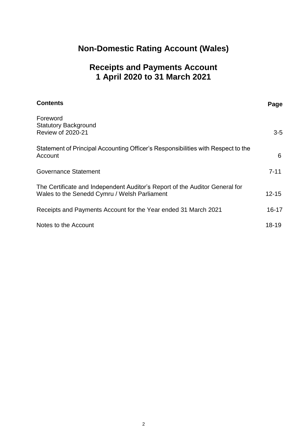## **Non-Domestic Rating Account (Wales)**

### **Receipts and Payments Account 1 April 2020 to 31 March 2021**

| <b>Contents</b>                                                                                                             | Page      |
|-----------------------------------------------------------------------------------------------------------------------------|-----------|
| Foreword<br><b>Statutory Background</b><br><b>Review of 2020-21</b>                                                         | $3-5$     |
| Statement of Principal Accounting Officer's Responsibilities with Respect to the<br>Account                                 | 6         |
| <b>Governance Statement</b>                                                                                                 | $7 - 11$  |
| The Certificate and Independent Auditor's Report of the Auditor General for<br>Wales to the Senedd Cymru / Welsh Parliament | $12 - 15$ |
| Receipts and Payments Account for the Year ended 31 March 2021                                                              | $16 - 17$ |
| Notes to the Account                                                                                                        | 18-19     |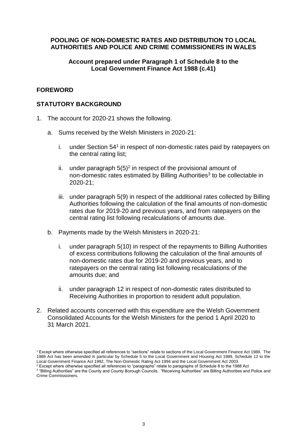#### **POOLING OF NON-DOMESTIC RATES AND DISTRIBUTION TO LOCAL AUTHORITIES AND POLICE AND CRIME COMMISSIONERS IN WALES**

#### **Account prepared under Paragraph 1 of Schedule 8 to the Local Government Finance Act 1988 (c.41)**

#### **FOREWORD**

#### **STATUTORY BACKGROUND**

- 1. The account for 2020-21 shows the following.
	- a. Sums received by the Welsh Ministers in 2020-21:
		- i. under Section  $54<sup>1</sup>$  in respect of non-domestic rates paid by ratepayers on the central rating list;
		- ii. under paragraph  $5(5)^2$  in respect of the provisional amount of non-domestic rates estimated by Billing Authorities<sup>3</sup> to be collectable in 2020-21;
		- iii. under paragraph 5(9) in respect of the additional rates collected by Billing Authorities following the calculation of the final amounts of non-domestic rates due for 2019-20 and previous years, and from ratepayers on the central rating list following recalculations of amounts due.
	- b. Payments made by the Welsh Ministers in 2020-21:
		- i. under paragraph 5(10) in respect of the repayments to Billing Authorities of excess contributions following the calculation of the final amounts of non-domestic rates due for 2019-20 and previous years, and to ratepayers on the central rating list following recalculations of the amounts due; and
		- ii. under paragraph 12 in respect of non-domestic rates distributed to Receiving Authorities in proportion to resident adult population.
- 2. Related accounts concerned with this expenditure are the Welsh Government Consolidated Accounts for the Welsh Ministers for the period 1 April 2020 to 31 March 2021.

<sup>1</sup> Except where otherwise specified all references to "sections" relate to sections of the Local Government Finance Act 1988. The 1988 Act has been amended in particular by Schedule 5 to the Local Government and Housing Act 1989, Schedule 12 to the Local Government Finance Act 1992, The Non-Domestic Rating Act 1994 and the Local Government Act 2003.

<sup>&</sup>lt;sup>2</sup> Except where otherwise specified all references to "paragraphs" relate to paragraphs of Schedule 8 to the 1988 Act

<sup>3</sup> "Billing Authorities" are the County and County Borough Councils. "Receiving Authorities" are Billing Authorities and Police and Crime Commissioners.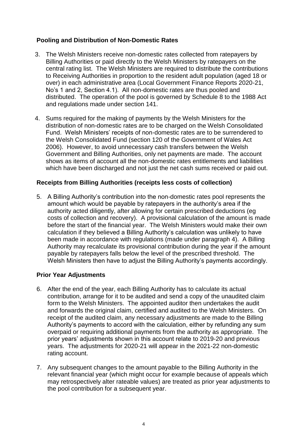#### **Pooling and Distribution of Non-Domestic Rates**

- 3. The Welsh Ministers receive non-domestic rates collected from ratepayers by Billing Authorities or paid directly to the Welsh Ministers by ratepayers on the central rating list. The Welsh Ministers are required to distribute the contributions to Receiving Authorities in proportion to the resident adult population (aged 18 or over) in each administrative area (Local Government Finance Reports 2020-21, No's 1 and 2, Section 4.1). All non-domestic rates are thus pooled and distributed. The operation of the pool is governed by Schedule 8 to the 1988 Act and regulations made under section 141.
- 4. Sums required for the making of payments by the Welsh Ministers for the distribution of non-domestic rates are to be charged on the Welsh Consolidated Fund. Welsh Ministers' receipts of non-domestic rates are to be surrendered to the Welsh Consolidated Fund (section 120 of the Government of Wales Act 2006). However, to avoid unnecessary cash transfers between the Welsh Government and Billing Authorities, only net payments are made. The account shows as items of account all the non-domestic rates entitlements and liabilities which have been discharged and not just the net cash sums received or paid out.

#### **Receipts from Billing Authorities (receipts less costs of collection)**

5. A Billing Authority's contribution into the non-domestic rates pool represents the amount which would be payable by ratepayers in the authority's area if the authority acted diligently, after allowing for certain prescribed deductions (eg costs of collection and recovery). A provisional calculation of the amount is made before the start of the financial year. The Welsh Ministers would make their own calculation if they believed a Billing Authority's calculation was unlikely to have been made in accordance with regulations (made under paragraph 4). A Billing Authority may recalculate its provisional contribution during the year if the amount payable by ratepayers falls below the level of the prescribed threshold. The Welsh Ministers then have to adjust the Billing Authority's payments accordingly.

#### **Prior Year Adjustments**

- 6. After the end of the year, each Billing Authority has to calculate its actual contribution, arrange for it to be audited and send a copy of the unaudited claim form to the Welsh Ministers. The appointed auditor then undertakes the audit and forwards the original claim, certified and audited to the Welsh Ministers. On receipt of the audited claim, any necessary adjustments are made to the Billing Authority's payments to accord with the calculation, either by refunding any sum overpaid or requiring additional payments from the authority as appropriate. The prior years' adjustments shown in this account relate to 2019-20 and previous years. The adjustments for 2020-21 will appear in the 2021-22 non-domestic rating account.
- 7. Any subsequent changes to the amount payable to the Billing Authority in the relevant financial year (which might occur for example because of appeals which may retrospectively alter rateable values) are treated as prior year adjustments to the pool contribution for a subsequent year.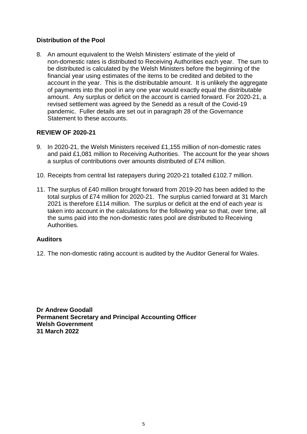#### **Distribution of the Pool**

8. An amount equivalent to the Welsh Ministers' estimate of the yield of non-domestic rates is distributed to Receiving Authorities each year. The sum to be distributed is calculated by the Welsh Ministers before the beginning of the financial year using estimates of the items to be credited and debited to the account in the year. This is the distributable amount. It is unlikely the aggregate of payments into the pool in any one year would exactly equal the distributable amount. Any surplus or deficit on the account is carried forward. For 2020-21, a revised settlement was agreed by the Senedd as a result of the Covid-19 pandemic. Fuller details are set out in paragraph 28 of the Governance Statement to these accounts.

#### **REVIEW OF 2020-21**

- 9. In 2020-21, the Welsh Ministers received £1,155 million of non-domestic rates and paid £1,081 million to Receiving Authorities. The account for the year shows a surplus of contributions over amounts distributed of £74 million.
- 10. Receipts from central list ratepayers during 2020-21 totalled £102.7 million.
- 11. The surplus of £40 million brought forward from 2019-20 has been added to the total surplus of £74 million for 2020-21. The surplus carried forward at 31 March 2021 is therefore £114 million. The surplus or deficit at the end of each year is taken into account in the calculations for the following year so that, over time, all the sums paid into the non-domestic rates pool are distributed to Receiving Authorities.

#### **Auditors**

12. The non-domestic rating account is audited by the Auditor General for Wales.

**Dr Andrew Goodall Permanent Secretary and Principal Accounting Officer Welsh Government 31 March 2022**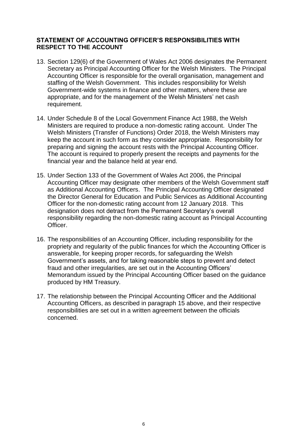#### **STATEMENT OF ACCOUNTING OFFICER'S RESPONSIBILITIES WITH RESPECT TO THE ACCOUNT**

- 13. Section 129(6) of the Government of Wales Act 2006 designates the Permanent Secretary as Principal Accounting Officer for the Welsh Ministers. The Principal Accounting Officer is responsible for the overall organisation, management and staffing of the Welsh Government. This includes responsibility for Welsh Government-wide systems in finance and other matters, where these are appropriate, and for the management of the Welsh Ministers' net cash requirement.
- 14. Under Schedule 8 of the Local Government Finance Act 1988, the Welsh Ministers are required to produce a non-domestic rating account. Under The Welsh Ministers (Transfer of Functions) Order 2018, the Welsh Ministers may keep the account in such form as they consider appropriate. Responsibility for preparing and signing the account rests with the Principal Accounting Officer. The account is required to properly present the receipts and payments for the financial year and the balance held at year end.
- 15. Under Section 133 of the Government of Wales Act 2006, the Principal Accounting Officer may designate other members of the Welsh Government staff as Additional Accounting Officers. The Principal Accounting Officer designated the Director General for Education and Public Services as Additional Accounting Officer for the non-domestic rating account from 12 January 2018. This designation does not detract from the Permanent Secretary's overall responsibility regarding the non-domestic rating account as Principal Accounting Officer.
- 16. The responsibilities of an Accounting Officer, including responsibility for the propriety and regularity of the public finances for which the Accounting Officer is answerable, for keeping proper records, for safeguarding the Welsh Government's assets, and for taking reasonable steps to prevent and detect fraud and other irregularities, are set out in the Accounting Officers' Memorandum issued by the Principal Accounting Officer based on the guidance produced by HM Treasury.
- 17. The relationship between the Principal Accounting Officer and the Additional Accounting Officers, as described in paragraph 15 above, and their respective responsibilities are set out in a written agreement between the officials concerned.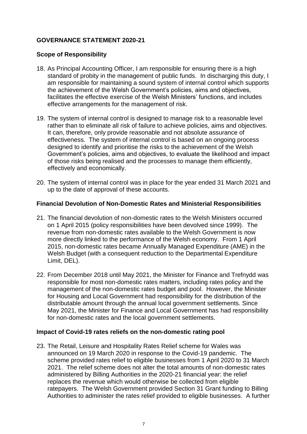#### **GOVERNANCE STATEMENT 2020-21**

#### **Scope of Responsibility**

- 18. As Principal Accounting Officer, I am responsible for ensuring there is a high standard of probity in the management of public funds. In discharging this duty, I am responsible for maintaining a sound system of internal control which supports the achievement of the Welsh Government's policies, aims and objectives, facilitates the effective exercise of the Welsh Ministers' functions, and includes effective arrangements for the management of risk.
- 19. The system of internal control is designed to manage risk to a reasonable level rather than to eliminate all risk of failure to achieve policies, aims and objectives. It can, therefore, only provide reasonable and not absolute assurance of effectiveness. The system of internal control is based on an ongoing process designed to identify and prioritise the risks to the achievement of the Welsh Government's policies, aims and objectives, to evaluate the likelihood and impact of those risks being realised and the processes to manage them efficiently, effectively and economically.
- 20. The system of internal control was in place for the year ended 31 March 2021 and up to the date of approval of these accounts.

#### **Financial Devolution of Non-Domestic Rates and Ministerial Responsibilities**

- 21. The financial devolution of non-domestic rates to the Welsh Ministers occurred on 1 April 2015 (policy responsibilities have been devolved since 1999). The revenue from non-domestic rates available to the Welsh Government is now more directly linked to the performance of the Welsh economy. From 1 April 2015, non-domestic rates became Annually Managed Expenditure (AME) in the Welsh Budget (with a consequent reduction to the Departmental Expenditure Limit, DEL).
- 22. From December 2018 until May 2021, the Minister for Finance and Trefnydd was responsible for most non-domestic rates matters, including rates policy and the management of the non-domestic rates budget and pool. However, the Minister for Housing and Local Government had responsibility for the distribution of the distributable amount through the annual local government settlements. Since May 2021, the Minister for Finance and Local Government has had responsibility for non-domestic rates and the local government settlements.

#### **Impact of Covid-19 rates reliefs on the non-domestic rating pool**

23. The Retail, Leisure and Hospitality Rates Relief scheme for Wales was announced on 19 March 2020 in response to the Covid-19 pandemic. The scheme provided rates relief to eligible businesses from 1 April 2020 to 31 March 2021. The relief scheme does not alter the total amounts of non-domestic rates administered by Billing Authorities in the 2020-21 financial year: the relief replaces the revenue which would otherwise be collected from eligible ratepayers. The Welsh Government provided Section 31 Grant funding to Billing Authorities to administer the rates relief provided to eligible businesses. A further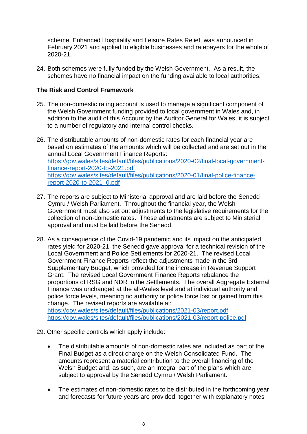scheme, Enhanced Hospitality and Leisure Rates Relief, was announced in February 2021 and applied to eligible businesses and ratepayers for the whole of 2020-21.

24. Both schemes were fully funded by the Welsh Government. As a result, the schemes have no financial impact on the funding available to local authorities.

#### **The Risk and Control Framework**

- 25. The non-domestic rating account is used to manage a significant component of the Welsh Government funding provided to local government in Wales and, in addition to the audit of this Account by the Auditor General for Wales, it is subject to a number of regulatory and internal control checks.
- 26. The distributable amounts of non-domestic rates for each financial year are based on estimates of the amounts which will be collected and are set out in the annual Local Government Finance Reports: [https://gov.wales/sites/default/files/publications/2020-02/final-local-government](https://gov.wales/sites/default/files/publications/2020-02/final-local-government-finance-report-2020-to-2021.pdf)[finance-report-2020-to-2021.pdf](https://gov.wales/sites/default/files/publications/2020-02/final-local-government-finance-report-2020-to-2021.pdf) [https://gov.wales/sites/default/files/publications/2020-01/final-police-finance](https://gov.wales/sites/default/files/publications/2020-01/final-police-finance-report-2020-to-2021_0.pdf)[report-2020-to-2021\\_0.pdf](https://gov.wales/sites/default/files/publications/2020-01/final-police-finance-report-2020-to-2021_0.pdf)
- 27. The reports are subject to Ministerial approval and are laid before the Senedd Cymru / Welsh Parliament. Throughout the financial year, the Welsh Government must also set out adjustments to the legislative requirements for the collection of non-domestic rates. These adjustments are subject to Ministerial approval and must be laid before the Senedd.
- 28. As a consequence of the Covid-19 pandemic and its impact on the anticipated rates yield for 2020-21, the Senedd gave approval for a technical revision of the Local Government and Police Settlements for 2020-21. The revised Local Government Finance Reports reflect the adjustments made in the 3rd Supplementary Budget, which provided for the increase in Revenue Support Grant. The revised Local Government Finance Reports rebalance the proportions of RSG and NDR in the Settlements. The overall Aggregate External Finance was unchanged at the all-Wales level and at individual authority and police force levels, meaning no authority or police force lost or gained from this change. The revised reports are available at:

<https://gov.wales/sites/default/files/publications/2021-03/report.pdf> <https://gov.wales/sites/default/files/publications/2021-03/report-police.pdf>

- 29. Other specific controls which apply include:
	- The distributable amounts of non-domestic rates are included as part of the Final Budget as a direct charge on the Welsh Consolidated Fund. The amounts represent a material contribution to the overall financing of the Welsh Budget and, as such, are an integral part of the plans which are subject to approval by the Senedd Cymru / Welsh Parliament.
	- The estimates of non-domestic rates to be distributed in the forthcoming year and forecasts for future years are provided, together with explanatory notes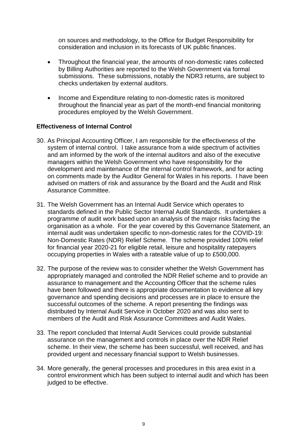on sources and methodology, to the Office for Budget Responsibility for consideration and inclusion in its forecasts of UK public finances.

- Throughout the financial year, the amounts of non-domestic rates collected by Billing Authorities are reported to the Welsh Government via formal submissions. These submissions, notably the NDR3 returns, are subject to checks undertaken by external auditors.
- Income and Expenditure relating to non-domestic rates is monitored throughout the financial year as part of the month-end financial monitoring procedures employed by the Welsh Government.

#### **Effectiveness of Internal Control**

- 30. As Principal Accounting Officer, I am responsible for the effectiveness of the system of internal control. I take assurance from a wide spectrum of activities and am informed by the work of the internal auditors and also of the executive managers within the Welsh Government who have responsibility for the development and maintenance of the internal control framework, and for acting on comments made by the Auditor General for Wales in his reports. I have been advised on matters of risk and assurance by the Board and the Audit and Risk Assurance Committee.
- 31. The Welsh Government has an Internal Audit Service which operates to standards defined in the Public Sector Internal Audit Standards. It undertakes a programme of audit work based upon an analysis of the major risks facing the organisation as a whole. For the year covered by this Governance Statement, an internal audit was undertaken specific to non-domestic rates for the COVID-19: Non-Domestic Rates (NDR) Relief Scheme. The scheme provided 100% relief for financial year 2020-21 for eligible retail, leisure and hospitality ratepayers occupying properties in Wales with a rateable value of up to £500,000.
- 32. The purpose of the review was to consider whether the Welsh Government has appropriately managed and controlled the NDR Relief scheme and to provide an assurance to management and the Accounting Officer that the scheme rules have been followed and there is appropriate documentation to evidence all key governance and spending decisions and processes are in place to ensure the successful outcomes of the scheme. A report presenting the findings was distributed by Internal Audit Service in October 2020 and was also sent to members of the Audit and Risk Assurance Committees and Audit Wales.
- 33. The report concluded that Internal Audit Services could provide substantial assurance on the management and controls in place over the NDR Relief scheme. In their view, the scheme has been successful, well received, and has provided urgent and necessary financial support to Welsh businesses.
- 34. More generally, the general processes and procedures in this area exist in a control environment which has been subject to internal audit and which has been judged to be effective.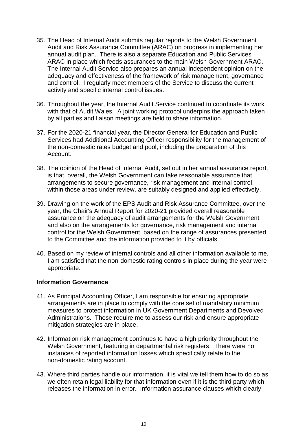- 35. The Head of Internal Audit submits regular reports to the Welsh Government Audit and Risk Assurance Committee (ARAC) on progress in implementing her annual audit plan. There is also a separate Education and Public Services ARAC in place which feeds assurances to the main Welsh Government ARAC. The Internal Audit Service also prepares an annual independent opinion on the adequacy and effectiveness of the framework of risk management, governance and control. I regularly meet members of the Service to discuss the current activity and specific internal control issues.
- 36. Throughout the year, the Internal Audit Service continued to coordinate its work with that of Audit Wales. A joint working protocol underpins the approach taken by all parties and liaison meetings are held to share information.
- 37. For the 2020-21 financial year, the Director General for Education and Public Services had Additional Accounting Officer responsibility for the management of the non-domestic rates budget and pool, including the preparation of this Account.
- 38. The opinion of the Head of Internal Audit, set out in her annual assurance report, is that, overall, the Welsh Government can take reasonable assurance that arrangements to secure governance, risk management and internal control, within those areas under review, are suitably designed and applied effectively.
- 39. Drawing on the work of the EPS Audit and Risk Assurance Committee, over the year, the Chair's Annual Report for 2020-21 provided overall reasonable assurance on the adequacy of audit arrangements for the Welsh Government and also on the arrangements for governance, risk management and internal control for the Welsh Government, based on the range of assurances presented to the Committee and the information provided to it by officials.
- 40. Based on my review of internal controls and all other information available to me, I am satisfied that the non-domestic rating controls in place during the year were appropriate.

#### **Information Governance**

- 41. As Principal Accounting Officer, I am responsible for ensuring appropriate arrangements are in place to comply with the core set of mandatory minimum measures to protect information in UK Government Departments and Devolved Administrations. These require me to assess our risk and ensure appropriate mitigation strategies are in place.
- 42. Information risk management continues to have a high priority throughout the Welsh Government, featuring in departmental risk registers. There were no instances of reported information losses which specifically relate to the non-domestic rating account.
- 43. Where third parties handle our information, it is vital we tell them how to do so as we often retain legal liability for that information even if it is the third party which releases the information in error. Information assurance clauses which clearly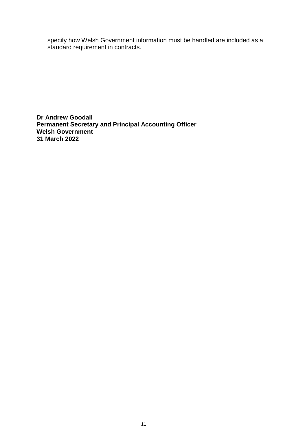specify how Welsh Government information must be handled are included as a standard requirement in contracts.

**Dr Andrew Goodall Permanent Secretary and Principal Accounting Officer Welsh Government 31 March 2022**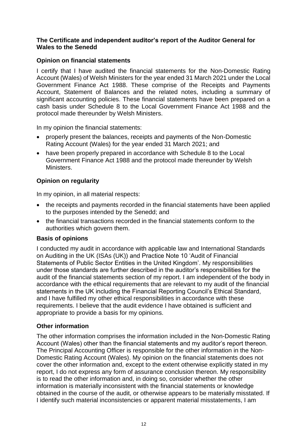#### **The Certificate and independent auditor's report of the Auditor General for Wales to the Senedd**

#### **Opinion on financial statements**

I certify that I have audited the financial statements for the Non-Domestic Rating Account (Wales) of Welsh Ministers for the year ended 31 March 2021 under the Local Government Finance Act 1988. These comprise of the Receipts and Payments Account, Statement of Balances and the related notes, including a summary of significant accounting policies. These financial statements have been prepared on a cash basis under Schedule 8 to the Local Government Finance Act 1988 and the protocol made thereunder by Welsh Ministers.

In my opinion the financial statements:

- properly present the balances, receipts and payments of the Non-Domestic Rating Account (Wales) for the year ended 31 March 2021; and
- have been properly prepared in accordance with Schedule 8 to the Local Government Finance Act 1988 and the protocol made thereunder by Welsh Ministers.

#### **Opinion on regularity**

In my opinion, in all material respects:

- the receipts and payments recorded in the financial statements have been applied to the purposes intended by the Senedd; and
- the financial transactions recorded in the financial statements conform to the authorities which govern them.

#### **Basis of opinions**

I conducted my audit in accordance with applicable law and International Standards on Auditing in the UK (ISAs (UK)) and Practice Note 10 'Audit of Financial Statements of Public Sector Entities in the United Kingdom'. My responsibilities under those standards are further described in the auditor's responsibilities for the audit of the financial statements section of my report. I am independent of the body in accordance with the ethical requirements that are relevant to my audit of the financial statements in the UK including the Financial Reporting Council's Ethical Standard, and I have fulfilled my other ethical responsibilities in accordance with these requirements. I believe that the audit evidence I have obtained is sufficient and appropriate to provide a basis for my opinions.

#### **Other information**

The other information comprises the information included in the Non-Domestic Rating Account (Wales) other than the financial statements and my auditor's report thereon. The Principal Accounting Officer is responsible for the other information in the Non-Domestic Rating Account (Wales). My opinion on the financial statements does not cover the other information and, except to the extent otherwise explicitly stated in my report, I do not express any form of assurance conclusion thereon. My responsibility is to read the other information and, in doing so, consider whether the other information is materially inconsistent with the financial statements or knowledge obtained in the course of the audit, or otherwise appears to be materially misstated. If I identify such material inconsistencies or apparent material misstatements, I am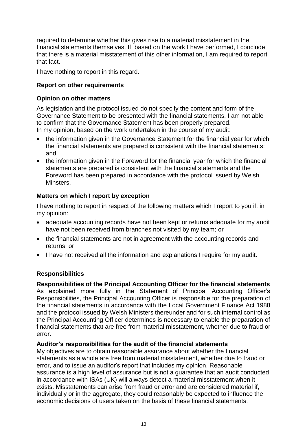required to determine whether this gives rise to a material misstatement in the financial statements themselves. If, based on the work I have performed, I conclude that there is a material misstatement of this other information, I am required to report that fact.

I have nothing to report in this regard.

#### **Report on other requirements**

#### **Opinion on other matters**

As legislation and the protocol issued do not specify the content and form of the Governance Statement to be presented with the financial statements, I am not able to confirm that the Governance Statement has been properly prepared. In my opinion, based on the work undertaken in the course of my audit:

- the information given in the Governance Statement for the financial year for which the financial statements are prepared is consistent with the financial statements; and
- the information given in the Foreword for the financial year for which the financial statements are prepared is consistent with the financial statements and the Foreword has been prepared in accordance with the protocol issued by Welsh Minsters.

#### **Matters on which I report by exception**

I have nothing to report in respect of the following matters which I report to you if, in my opinion:

- adequate accounting records have not been kept or returns adequate for my audit have not been received from branches not visited by my team; or
- the financial statements are not in agreement with the accounting records and returns; or
- I have not received all the information and explanations I require for my audit.

#### **Responsibilities**

#### **Responsibilities of the Principal Accounting Officer for the financial statements**

As explained more fully in the Statement of Principal Accounting Officer's Responsibilities, the Principal Accounting Officer is responsible for the preparation of the financial statements in accordance with the Local Government Finance Act 1988 and the protocol issued by Welsh Ministers thereunder and for such internal control as the Principal Accounting Officer determines is necessary to enable the preparation of financial statements that are free from material misstatement, whether due to fraud or error.

#### **Auditor's responsibilities for the audit of the financial statements**

My objectives are to obtain reasonable assurance about whether the financial statements as a whole are free from material misstatement, whether due to fraud or error, and to issue an auditor's report that includes my opinion. Reasonable assurance is a high level of assurance but is not a guarantee that an audit conducted in accordance with ISAs (UK) will always detect a material misstatement when it exists. Misstatements can arise from fraud or error and are considered material if, individually or in the aggregate, they could reasonably be expected to influence the economic decisions of users taken on the basis of these financial statements.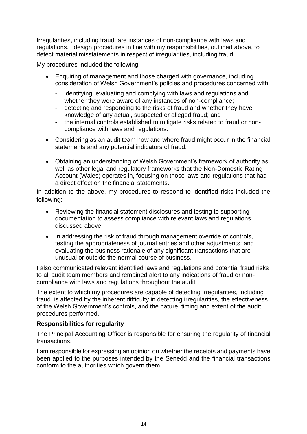Irregularities, including fraud, are instances of non-compliance with laws and regulations. I design procedures in line with my responsibilities, outlined above, to detect material misstatements in respect of irregularities, including fraud.

My procedures included the following:

- Enquiring of management and those charged with governance, including consideration of Welsh Government's policies and procedures concerned with:
	- identifying, evaluating and complying with laws and regulations and whether they were aware of any instances of non-compliance;
	- detecting and responding to the risks of fraud and whether they have knowledge of any actual, suspected or alleged fraud; and
	- the internal controls established to mitigate risks related to fraud or noncompliance with laws and regulations.
- Considering as an audit team how and where fraud might occur in the financial statements and any potential indicators of fraud.
- Obtaining an understanding of Welsh Government's framework of authority as well as other legal and regulatory frameworks that the Non-Domestic Rating Account (Wales) operates in, focusing on those laws and regulations that had a direct effect on the financial statements.

In addition to the above, my procedures to respond to identified risks included the following:

- Reviewing the financial statement disclosures and testing to supporting documentation to assess compliance with relevant laws and regulations discussed above.
- In addressing the risk of fraud through management override of controls, testing the appropriateness of journal entries and other adjustments; and evaluating the business rationale of any significant transactions that are unusual or outside the normal course of business.

I also communicated relevant identified laws and regulations and potential fraud risks to all audit team members and remained alert to any indications of fraud or noncompliance with laws and regulations throughout the audit.

The extent to which my procedures are capable of detecting irregularities, including fraud, is affected by the inherent difficulty in detecting irregularities, the effectiveness of the Welsh Government's controls, and the nature, timing and extent of the audit procedures performed.

#### **Responsibilities for regularity**

The Principal Accounting Officer is responsible for ensuring the regularity of financial transactions.

I am responsible for expressing an opinion on whether the receipts and payments have been applied to the purposes intended by the Senedd and the financial transactions conform to the authorities which govern them.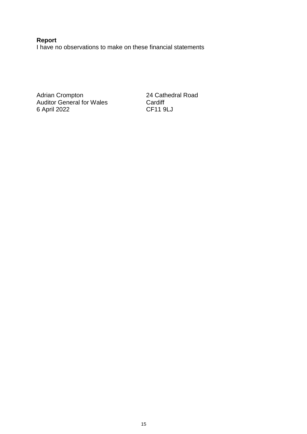**Report** I have no observations to make on these financial statements

Adrian Crompton 24 Cathedral Road Auditor General for Wales **Cardiff** 6 April 2022 CF11 9LJ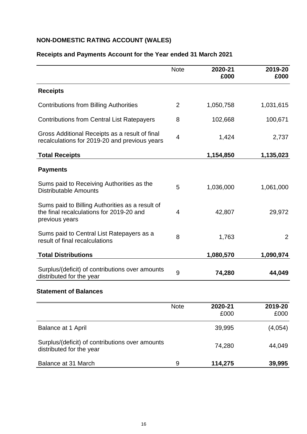#### **NON-DOMESTIC RATING ACCOUNT (WALES)**

|                                                                                                               | <b>Note</b>    | 2020-21<br>£000 | 2019-20<br>£000 |
|---------------------------------------------------------------------------------------------------------------|----------------|-----------------|-----------------|
| <b>Receipts</b>                                                                                               |                |                 |                 |
| <b>Contributions from Billing Authorities</b>                                                                 | $\overline{2}$ | 1,050,758       | 1,031,615       |
| <b>Contributions from Central List Ratepayers</b>                                                             | 8              | 102,668         | 100,671         |
| Gross Additional Receipts as a result of final<br>recalculations for 2019-20 and previous years               | 4              | 1,424           | 2,737           |
| <b>Total Receipts</b>                                                                                         |                | 1,154,850       | 1,135,023       |
| <b>Payments</b>                                                                                               |                |                 |                 |
| Sums paid to Receiving Authorities as the<br><b>Distributable Amounts</b>                                     | 5              | 1,036,000       | 1,061,000       |
| Sums paid to Billing Authorities as a result of<br>the final recalculations for 2019-20 and<br>previous years | 4              | 42,807          | 29,972          |
| Sums paid to Central List Ratepayers as a<br>result of final recalculations                                   | 8              | 1,763           | $\overline{2}$  |
| <b>Total Distributions</b>                                                                                    |                | 1,080,570       | 1,090,974       |
| Surplus/(deficit) of contributions over amounts<br>distributed for the year                                   | 9              | 74,280          | 44,049          |
| <b>Statement of Balances</b>                                                                                  |                |                 |                 |
|                                                                                                               | <b>Note</b>    | 2020-21<br>£000 | 2019-20<br>£000 |
| Balance at 1 April                                                                                            |                | 39,995          | (4,054)         |

#### **Receipts and Payments Account for the Year ended 31 March 2021**

# Surplus/(deficit) of contributions over amounts distributed for the year 74,280 44,049 Balance at 31 March 9 **114,275 39,995**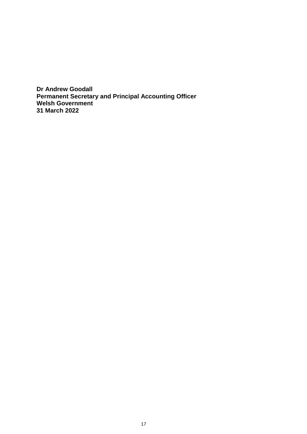**Dr Andrew Goodall Permanent Secretary and Principal Accounting Officer Welsh Government 31 March 2022**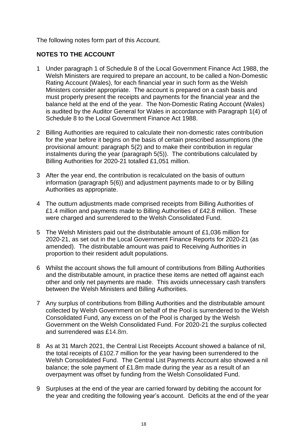The following notes form part of this Account.

#### **NOTES TO THE ACCOUNT**

- 1 Under paragraph 1 of Schedule 8 of the Local Government Finance Act 1988, the Welsh Ministers are required to prepare an account, to be called a Non-Domestic Rating Account (Wales), for each financial year in such form as the Welsh Ministers consider appropriate. The account is prepared on a cash basis and must properly present the receipts and payments for the financial year and the balance held at the end of the year. The Non-Domestic Rating Account (Wales) is audited by the Auditor General for Wales in accordance with Paragraph 1(4) of Schedule 8 to the Local Government Finance Act 1988.
- 2 Billing Authorities are required to calculate their non-domestic rates contribution for the year before it begins on the basis of certain prescribed assumptions (the provisional amount: paragraph 5(2) and to make their contribution in regular instalments during the year (paragraph 5(5)). The contributions calculated by Billing Authorities for 2020-21 totalled £1,051 million.
- 3 After the year end, the contribution is recalculated on the basis of outturn information (paragraph 5(6)) and adjustment payments made to or by Billing Authorities as appropriate.
- 4 The outturn adjustments made comprised receipts from Billing Authorities of £1.4 million and payments made to Billing Authorities of £42.8 million. These were charged and surrendered to the Welsh Consolidated Fund.
- 5 The Welsh Ministers paid out the distributable amount of £1,036 million for 2020-21, as set out in the Local Government Finance Reports for 2020-21 (as amended). The distributable amount was paid to Receiving Authorities in proportion to their resident adult populations.
- 6 Whilst the account shows the full amount of contributions from Billing Authorities and the distributable amount, in practice these items are netted off against each other and only net payments are made. This avoids unnecessary cash transfers between the Welsh Ministers and Billing Authorities.
- 7 Any surplus of contributions from Billing Authorities and the distributable amount collected by Welsh Government on behalf of the Pool is surrendered to the Welsh Consolidated Fund, any excess on of the Pool is charged by the Welsh Government on the Welsh Consolidated Fund. For 2020-21 the surplus collected and surrendered was £14.8m.
- 8 As at 31 March 2021, the Central List Receipts Account showed a balance of nil, the total receipts of £102.7 million for the year having been surrendered to the Welsh Consolidated Fund. The Central List Payments Account also showed a nil balance; the sole payment of £1.8m made during the year as a result of an overpayment was offset by funding from the Welsh Consolidated Fund.
- 9 Surpluses at the end of the year are carried forward by debiting the account for the year and crediting the following year's account. Deficits at the end of the year